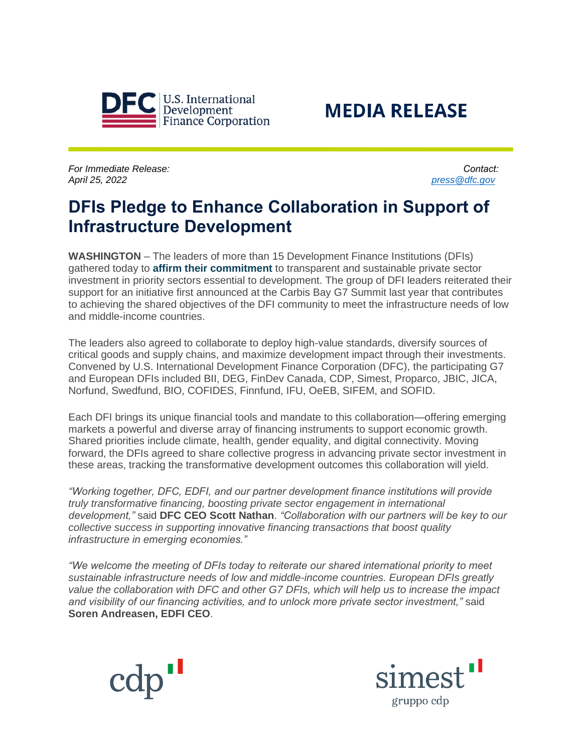



*For Immediate Release: Contact:  April 25, 2022 [press@dfc.gov](mailto:press@dfc.gov)*

# **DFIs Pledge to Enhance Collaboration in Support of Infrastructure Development**

**WASHINGTON** – The leaders of more than 15 Development Finance Institutions (DFIs) gathered today to **[affirm their commitment](https://www.dfc.gov/sites/default/files/media/documents/DFI%20Joint%20Statement.pdf)** to transparent and sustainable private sector investment in priority sectors essential to development. The group of DFI leaders reiterated their support for an initiative first announced at the Carbis Bay G7 Summit last year that contributes to achieving the shared objectives of the DFI community to meet the infrastructure needs of low and middle-income countries.

The leaders also agreed to collaborate to deploy high-value standards, diversify sources of critical goods and supply chains, and maximize development impact through their investments. Convened by U.S. International Development Finance Corporation (DFC), the participating G7 and European DFIs included BII, DEG, FinDev Canada, CDP, Simest, Proparco, JBIC, JICA, Norfund, Swedfund, BIO, COFIDES, Finnfund, IFU, OeEB, SIFEM, and SOFID.

Each DFI brings its unique financial tools and mandate to this collaboration—offering emerging markets a powerful and diverse array of financing instruments to support economic growth. Shared priorities include climate, health, gender equality, and digital connectivity. Moving forward, the DFIs agreed to share collective progress in advancing private sector investment in these areas, tracking the transformative development outcomes this collaboration will yield.

*"Working together, DFC, EDFI, and our partner development finance institutions will provide truly transformative financing, boosting private sector engagement in international development,"* said **DFC CEO Scott Nathan**. *"Collaboration with our partners will be key to our collective success in supporting innovative financing transactions that boost quality infrastructure in emerging economies."*

*"We welcome the meeting of DFIs today to reiterate our shared international priority to meet sustainable infrastructure needs of low and middle-income countries. European DFIs greatly value the collaboration with DFC and other G7 DFIs, which will help us to increase the impact and visibility of our financing activities, and to unlock more private sector investment,"* said **Soren Andreasen, EDFI CEO**.